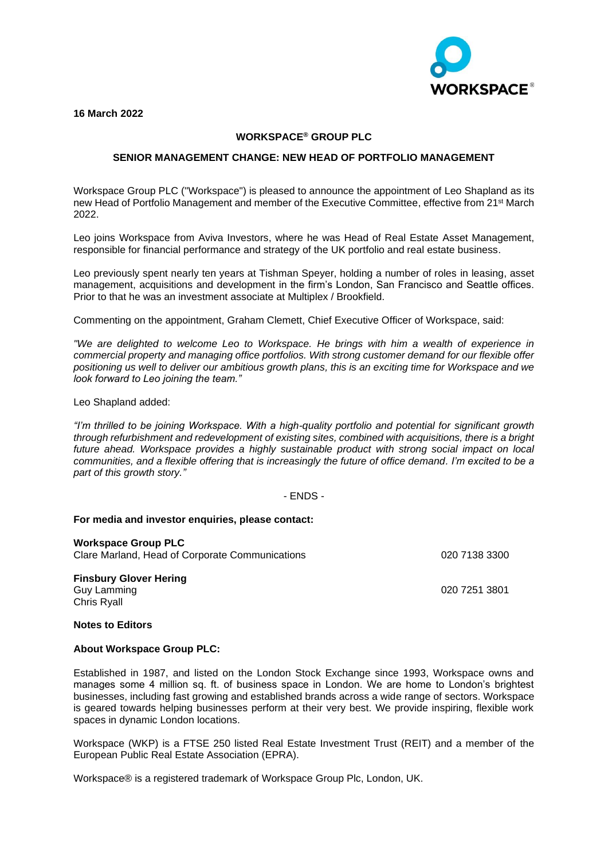**ORKSPACE®** 

**16 March 2022**

# **WORKSPACE® GROUP PLC**

## **SENIOR MANAGEMENT CHANGE: NEW HEAD OF PORTFOLIO MANAGEMENT**

Workspace Group PLC ("Workspace") is pleased to announce the appointment of Leo Shapland as its new Head of Portfolio Management and member of the Executive Committee, effective from 21st March 2022.

Leo joins Workspace from Aviva Investors, where he was Head of Real Estate Asset Management, responsible for financial performance and strategy of the UK portfolio and real estate business.

Leo previously spent nearly ten years at Tishman Speyer, holding a number of roles in leasing, asset management, acquisitions and development in the firm's London, San Francisco and Seattle offices. Prior to that he was an investment associate at Multiplex / Brookfield.

Commenting on the appointment, Graham Clemett, Chief Executive Officer of Workspace, said:

*"We are delighted to welcome Leo to Workspace. He brings with him a wealth of experience in commercial property and managing office portfolios. With strong customer demand for our flexible offer positioning us well to deliver our ambitious growth plans, this is an exciting time for Workspace and we look forward to Leo joining the team."*

Leo Shapland added:

*"I'm thrilled to be joining Workspace. With a high-quality portfolio and potential for significant growth through refurbishment and redevelopment of existing sites, combined with acquisitions, there is a bright future ahead. Workspace provides a highly sustainable product with strong social impact on local communities, and a flexible offering that is increasingly the future of office demand. I'm excited to be a part of this growth story."*

## - ENDS -

#### **For media and investor enquiries, please contact:**

**Workspace Group PLC** Clare Marland, Head of Corporate Communications 020 7138 3300

**Finsbury Glover Hering** Guy Lamming 020 7251 3801 Chris Ryall

**Notes to Editors**

#### **About Workspace Group PLC:**

Established in 1987, and listed on the London Stock Exchange since 1993, Workspace owns and manages some 4 million sq. ft. of business space in London. We are home to London's brightest businesses, including fast growing and established brands across a wide range of sectors. Workspace is geared towards helping businesses perform at their very best. We provide inspiring, flexible work spaces in dynamic London locations.

Workspace (WKP) is a FTSE 250 listed Real Estate Investment Trust (REIT) and a member of the European Public Real Estate Association (EPRA).

Workspace® is a registered trademark of Workspace Group Plc, London, UK.